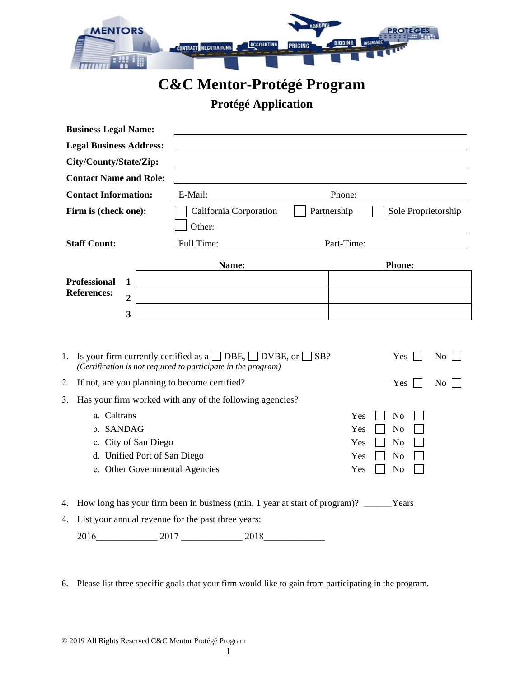

## **C&C Mentor-Protégé Program**

## **Protégé Application**

| <b>Business Legal Name:</b>                              |                                                                                                                                               |                       |  |
|----------------------------------------------------------|-----------------------------------------------------------------------------------------------------------------------------------------------|-----------------------|--|
| <b>Legal Business Address:</b>                           |                                                                                                                                               |                       |  |
| City/County/State/Zip:                                   |                                                                                                                                               |                       |  |
| <b>Contact Name and Role:</b>                            |                                                                                                                                               |                       |  |
| <b>Contact Information:</b>                              | E-Mail:                                                                                                                                       | Phone:                |  |
| Firm is (check one):                                     | California Corporation<br>Partnership<br>Sole Proprietorship                                                                                  |                       |  |
|                                                          | Other:                                                                                                                                        |                       |  |
| <b>Staff Count:</b>                                      | Full Time:                                                                                                                                    | Part-Time:            |  |
|                                                          | Name:                                                                                                                                         | <b>Phone:</b>         |  |
| <b>Professional</b><br>$\mathbf{1}$                      |                                                                                                                                               |                       |  |
| <b>References:</b><br>$\overline{2}$                     |                                                                                                                                               |                       |  |
| 3                                                        |                                                                                                                                               |                       |  |
| 1.                                                       | Is your firm currently certified as a $\Box$ DBE, $\Box$ DVBE, or $\Box$ SB?<br>(Certification is not required to participate in the program) | Yes<br>No             |  |
| 2.<br>If not, are you planning to become certified?      |                                                                                                                                               | No<br>Yes             |  |
| 3.                                                       | Has your firm worked with any of the following agencies?                                                                                      |                       |  |
| a. Caltrans                                              |                                                                                                                                               | Yes<br>N <sub>o</sub> |  |
| b. SANDAG<br>Yes                                         |                                                                                                                                               | N <sub>o</sub>        |  |
| c. City of San Diego<br>Yes                              |                                                                                                                                               | N <sub>o</sub>        |  |
| d. Unified Port of San Diego                             |                                                                                                                                               | Yes<br>N <sub>o</sub> |  |
| e. Other Governmental Agencies                           |                                                                                                                                               | Yes<br>N <sub>o</sub> |  |
| 4.                                                       | How long has your firm been in business (min. 1 year at start of program)? ______Years                                                        |                       |  |
| List your annual revenue for the past three years:<br>4. |                                                                                                                                               |                       |  |
| 2016<br>2017                                             | 2018                                                                                                                                          |                       |  |

6. Please list three specific goals that your firm would like to gain from participating in the program.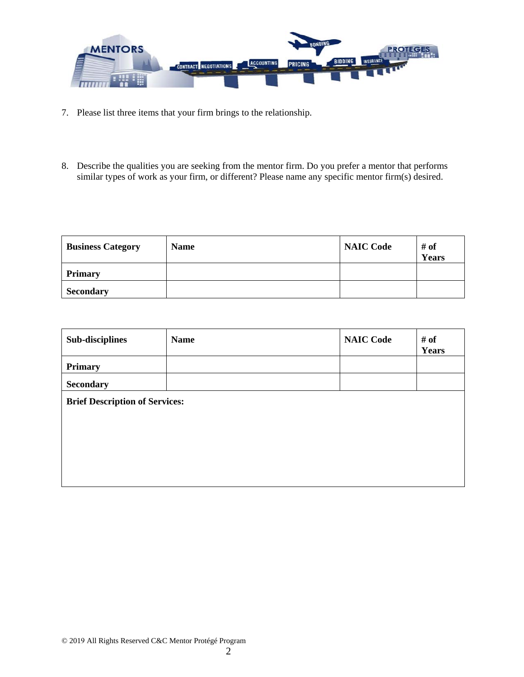

- 7. Please list three items that your firm brings to the relationship.
- 8. Describe the qualities you are seeking from the mentor firm. Do you prefer a mentor that performs similar types of work as your firm, or different? Please name any specific mentor firm(s) desired.

| <b>Business Category</b> | <b>Name</b> | <b>NAIC Code</b> | # of<br>Years |
|--------------------------|-------------|------------------|---------------|
| <b>Primary</b>           |             |                  |               |
| <b>Secondary</b>         |             |                  |               |

| <b>Sub-disciplines</b>                | <b>Name</b> | <b>NAIC Code</b> | $#$ of<br>Years |
|---------------------------------------|-------------|------------------|-----------------|
| <b>Primary</b>                        |             |                  |                 |
| <b>Secondary</b>                      |             |                  |                 |
| <b>Brief Description of Services:</b> |             |                  |                 |
|                                       |             |                  |                 |